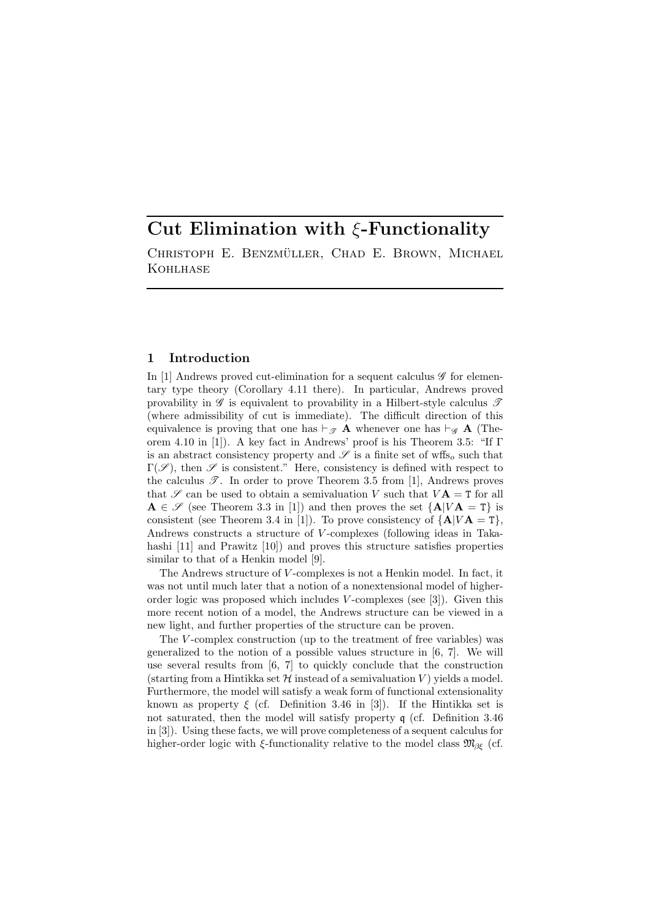# Cut Elimination with  $\xi$ -Functionality

CHRISTOPH E. BENZMÜLLER, CHAD E. BROWN, MICHAEL **KOHLHASE** 

# 1 Introduction

In [1] Andrews proved cut-elimination for a sequent calculus  $\mathscr G$  for elementary type theory (Corollary 4.11 there). In particular, Andrews proved provability in  $\mathscr G$  is equivalent to provability in a Hilbert-style calculus  $\mathscr T$ (where admissibility of cut is immediate). The difficult direction of this equivalence is proving that one has  $\vdash_{\mathscr{T}} A$  whenever one has  $\vdash_{\mathscr{G}} A$  (Theorem 4.10 in [1]). A key fact in Andrews' proof is his Theorem 3.5: "If Γ is an abstract consistency property and  $\mathscr S$  is a finite set of wffs<sub>o</sub> such that  $\Gamma(\mathscr{S})$ , then  $\mathscr{S}$  is consistent." Here, consistency is defined with respect to the calculus  $\mathscr{T}$ . In order to prove Theorem 3.5 from [1], Andrews proves that  $\mathscr S$  can be used to obtain a semivaluation V such that  $V\mathbf{A} = \mathbf{T}$  for all  $\mathbf{A} \in \mathscr{S}$  (see Theorem 3.3 in [1]) and then proves the set  $\{\mathbf{A}|V\mathbf{A} = \mathbf{T}\}\$ is consistent (see Theorem 3.4 in [1]). To prove consistency of  $\{A|VA = T\}$ , Andrews constructs a structure of V -complexes (following ideas in Takahashi [11] and Prawitz [10]) and proves this structure satisfies properties similar to that of a Henkin model [9].

The Andrews structure of V -complexes is not a Henkin model. In fact, it was not until much later that a notion of a nonextensional model of higherorder logic was proposed which includes  $V$ -complexes (see [3]). Given this more recent notion of a model, the Andrews structure can be viewed in a new light, and further properties of the structure can be proven.

The V-complex construction (up to the treatment of free variables) was generalized to the notion of a possible values structure in [6, 7]. We will use several results from [6, 7] to quickly conclude that the construction (starting from a Hintikka set  $\mathcal H$  instead of a semivaluation V) yields a model. Furthermore, the model will satisfy a weak form of functional extensionality known as property  $\xi$  (cf. Definition 3.46 in [3]). If the Hintikka set is not saturated, then the model will satisfy property q (cf. Definition 3.46 in [3]). Using these facts, we will prove completeness of a sequent calculus for higher-order logic with  $\xi$ -functionality relative to the model class  $\mathfrak{M}_{\beta\xi}$  (cf.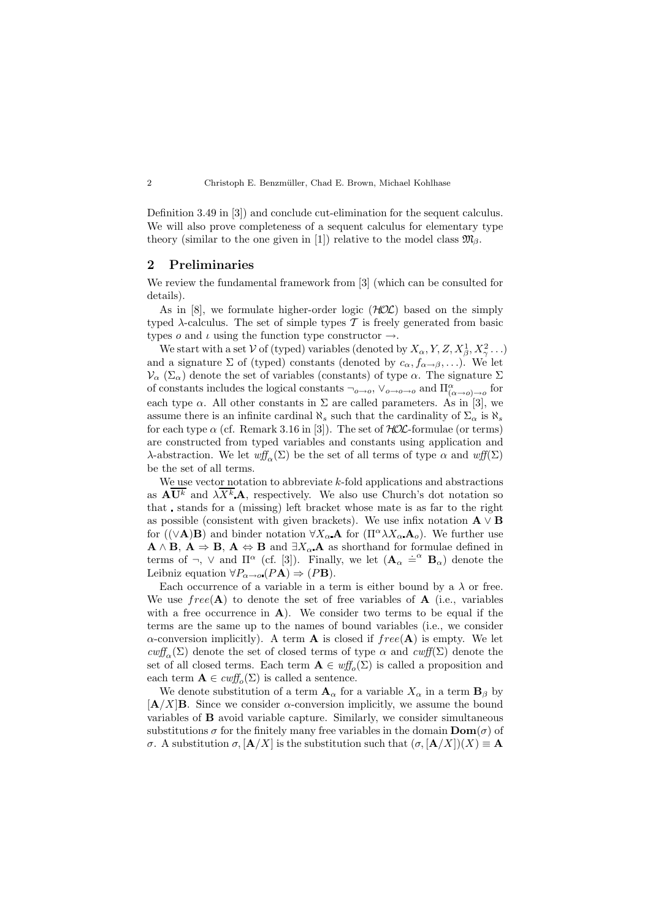Definition 3.49 in [3]) and conclude cut-elimination for the sequent calculus. We will also prove completeness of a sequent calculus for elementary type theory (similar to the one given in [1]) relative to the model class  $\mathfrak{M}_{\beta}$ .

### 2 Preliminaries

We review the fundamental framework from [3] (which can be consulted for details).

As in [8], we formulate higher-order logic  $(HOC)$  based on the simply typed  $\lambda$ -calculus. The set of simple types T is freely generated from basic types  $o$  and  $\iota$  using the function type constructor  $\rightarrow$ .

We start with a set V of (typed) variables (denoted by  $X_{\alpha}$ , Y, Z,  $X_{\beta}^1$ ,  $X_{\gamma}^2$ ...) and a signature  $\Sigma$  of (typed) constants (denoted by  $c_{\alpha}, f_{\alpha \to \beta}, \ldots$ ). We let  $\mathcal{V}_{\alpha}(\Sigma_{\alpha})$  denote the set of variables (constants) of type  $\alpha$ . The signature  $\Sigma$ of constants includes the logical constants  $\neg_{o\to o}$ ,  $\vee_{o\to o\to o}$  and  $\Pi^{\alpha}_{(\alpha\to o)\to o}$  for each type  $\alpha$ . All other constants in  $\Sigma$  are called parameters. As in [3], we assume there is an infinite cardinal  $\aleph_s$  such that the cardinality of  $\Sigma_{\alpha}$  is  $\aleph_s$ for each type  $\alpha$  (cf. Remark 3.16 in [3]). The set of  $HOL$ -formulae (or terms) are constructed from typed variables and constants using application and λ-abstraction. We let  $wff_\alpha(\Sigma)$  be the set of all terms of type  $\alpha$  and  $wff(\Sigma)$ be the set of all terms.

We use vector notation to abbreviate  $k$ -fold applications and abstractions as  $\mathbf{A} \overline{\mathbf{U}^k}$  and  $\lambda \overline{X^k} \mathbf{A}$ , respectively. We also use Church's dot notation so that stands for a (missing) left bracket whose mate is as far to the right as possible (consistent with given brackets). We use infix notation  $\mathbf{A} \vee \mathbf{B}$ for ( $(\vee \mathbf{A})\mathbf{B}$ ) and binder notation  $\forall X_\alpha \mathbf{A}$  for  $(\Pi^\alpha \lambda X_\alpha \mathbf{A}_o)$ . We further use  $A \wedge B$ ,  $A \Rightarrow B$ ,  $A \Leftrightarrow B$  and  $\exists X_{\alpha} A$  as shorthand for formulae defined in terms of  $\neg$ ,  $\vee$  and  $\Pi^{\alpha}$  (cf. [3]). Finally, we let  $(\mathbf{A}_{\alpha} \doteq^{\alpha} \mathbf{B}_{\alpha})$  denote the Leibniz equation  $\forall P_{\alpha \to o} (P\mathbf{A}) \Rightarrow (P\mathbf{B}).$ 

Each occurrence of a variable in a term is either bound by a  $\lambda$  or free. We use  $free(\mathbf{A})$  to denote the set of free variables of  $\mathbf{A}$  (i.e., variables with a free occurrence in  $A$ ). We consider two terms to be equal if the terms are the same up to the names of bound variables (i.e., we consider  $\alpha$ -conversion implicitly). A term **A** is closed if  $free(A)$  is empty. We let  $\text{cutf}_{\alpha}(\Sigma)$  denote the set of closed terms of type  $\alpha$  and  $\text{cutf}(\Sigma)$  denote the set of all closed terms. Each term  $\mathbf{A} \in \text{wff}_o(\Sigma)$  is called a proposition and each term  $\mathbf{A} \in \text{cutf}_{o}(\Sigma)$  is called a sentence.

We denote substitution of a term  $\mathbf{A}_{\alpha}$  for a variable  $X_{\alpha}$  in a term  $\mathbf{B}_{\beta}$  by  $[A/X]$ B. Since we consider  $\alpha$ -conversion implicitly, we assume the bound variables of B avoid variable capture. Similarly, we consider simultaneous substitutions  $\sigma$  for the finitely many free variables in the domain  $\text{Dom}(\sigma)$  of σ. A substitution  $\sigma$ ,  $\left[\mathbf{A}/X\right]$  is the substitution such that  $\left(\sigma$ ,  $\left[\mathbf{A}/X\right]\right)(X) \equiv \mathbf{A}$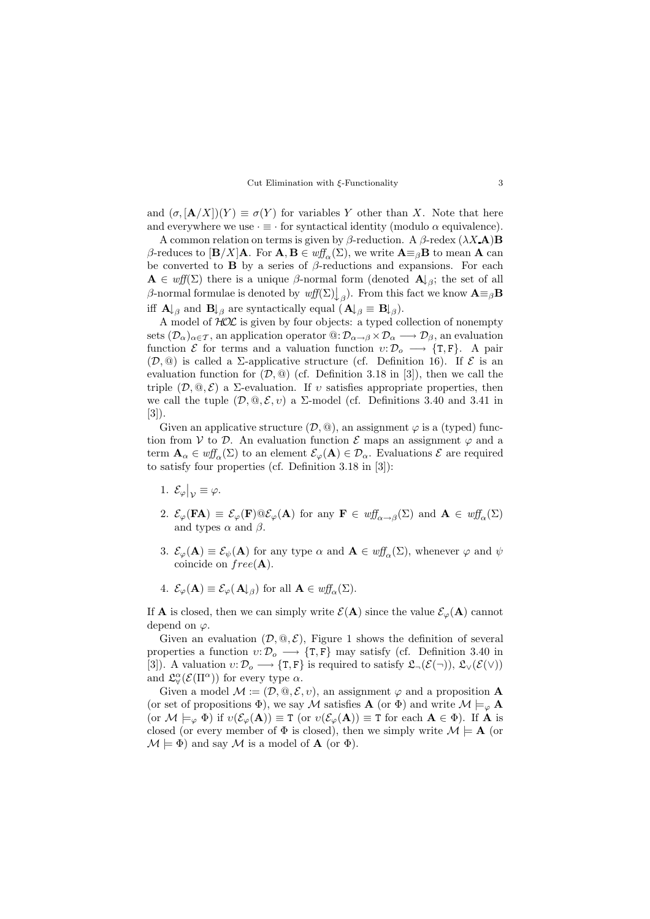

and  $(\sigma, [\mathbf{A}/X])(Y) \equiv \sigma(Y)$  for variables Y other than X. Note that here and everywhere we use  $\cdot \equiv \cdot$  for syntactical identity (modulo  $\alpha$  equivalence).

A common relation on terms is given by  $\beta$ -reduction. A  $\beta$ -redex  $(\lambda X \mathbf{A}) \mathbf{B}$ β-reduces to  $[\mathbf{B}/X]\mathbf{A}$ . For  $\mathbf{A}, \mathbf{B} \in \text{wff}_{\alpha}(\Sigma)$ , we write  $\mathbf{A} \equiv_{\beta} \mathbf{B}$  to mean  $\mathbf{A}$  can be converted to **B** by a series of  $\beta$ -reductions and expansions. For each  $\mathbf{A} \in \text{wff}(\Sigma)$  there is a unique  $\beta$ -normal form (denoted  $\mathbf{A} \downarrow_{\beta}$ ; the set of all β-normal formulae is denoted by  $wff(\Sigma)\downarrow_{\beta}$ ). From this fact we know  $\mathbf{A} \equiv_{\beta} \mathbf{B}$ iff  $\mathbf{A} \downarrow_{\beta}$  and  $\mathbf{B} \downarrow_{\beta}$  are syntactically equal  $(\mathbf{A} \downarrow_{\beta} \equiv \mathbf{B} \downarrow_{\beta}).$ 

A model of  $HOL$  is given by four objects: a typed collection of nonempty sets  $(\mathcal{D}_{\alpha})_{\alpha \in \mathcal{T}}$ , an application operator  $\mathbb{Q}: \mathcal{D}_{\alpha \to \beta} \times \mathcal{D}_{\alpha} \longrightarrow \mathcal{D}_{\beta}$ , an evaluation function  $\mathcal E$  for terms and a valuation function  $v: \mathcal D_o \longrightarrow \{T, F\}$ . A pair  $(\mathcal{D}, \mathbb{Q})$  is called a *Σ*-applicative structure (cf. Definition 16). If  $\mathcal E$  is an evaluation function for  $(\mathcal{D}, \mathbb{Q})$  (cf. Definition 3.18 in [3]), then we call the triple  $(D, \mathbb{Q}, \mathcal{E})$  a  $\Sigma$ -evaluation. If v satisfies appropriate properties, then we call the tuple  $(D, \mathbb{Q}, \mathcal{E}, v)$  a  $\Sigma$ -model (cf. Definitions 3.40 and 3.41 in [3]).

Given an applicative structure  $(\mathcal{D}, \mathbb{Q})$ , an assignment  $\varphi$  is a (typed) function from V to D. An evaluation function  $\mathcal E$  maps an assignment  $\varphi$  and a term  $\mathbf{A}_{\alpha} \in \mathit{wff}_{\alpha}(\Sigma)$  to an element  $\mathcal{E}_{\varphi}(\mathbf{A}) \in \mathcal{D}_{\alpha}$ . Evaluations  $\mathcal{E}$  are required to satisfy four properties (cf. Definition 3.18 in [3]):

- 1.  $\mathcal{E}_{\varphi}|_{\mathcal{V}} \equiv \varphi.$
- 2.  $\mathcal{E}_{\varphi}(\mathbf{FA}) \equiv \mathcal{E}_{\varphi}(\mathbf{F}) \mathbb{Q} \mathcal{E}_{\varphi}(\mathbf{A})$  for any  $\mathbf{F} \in \mathit{wff}_{\alpha \to \beta}(\Sigma)$  and  $\mathbf{A} \in \mathit{wff}_{\alpha}(\Sigma)$ and types  $\alpha$  and  $\beta$ .
- 3.  $\mathcal{E}_{\varphi}(\mathbf{A}) \equiv \mathcal{E}_{\psi}(\mathbf{A})$  for any type  $\alpha$  and  $\mathbf{A} \in \mathit{wff}_{\alpha}(\Sigma)$ , whenever  $\varphi$  and  $\psi$ coincide on  $free(\bf A)$ .
- 4.  $\mathcal{E}_{\varphi}(\mathbf{A}) \equiv \mathcal{E}_{\varphi}(\mathbf{A} \downarrow_{\beta})$  for all  $\mathbf{A} \in \mathit{wff}_{\alpha}(\Sigma)$ .

If **A** is closed, then we can simply write  $\mathcal{E}(\mathbf{A})$  since the value  $\mathcal{E}_{\varphi}(\mathbf{A})$  cannot depend on  $\varphi$ .

Given an evaluation  $(D, \mathbb{Q}, \mathcal{E})$ , Figure 1 shows the definition of several properties a function  $v: \mathcal{D}_o \longrightarrow \{T, F\}$  may satisfy (cf. Definition 3.40 in [3]). A valuation  $v: \mathcal{D}_o \longrightarrow \{\texttt{T}, \texttt{F}\}\$ is required to satisfy  $\mathfrak{L}_{\neg}(\mathcal{E}(\neg)), \mathfrak{L}_{\vee}(\mathcal{E}(\vee))$ and  $\mathfrak{L}^{\alpha}_{\forall}(\mathcal{E}(\Pi^{\alpha}))$  for every type  $\alpha$ .

Given a model  $\mathcal{M} := (\mathcal{D}, \mathcal{Q}, \mathcal{E}, v)$ , an assignment  $\varphi$  and a proposition **A** (or set of propositions  $\Phi$ ), we say M satisfies **A** (or  $\Phi$ ) and write  $M \models_{\varphi} \mathbf{A}$ (or  $\mathcal{M} \models_{\varphi} \Phi$ ) if  $v(\mathcal{E}_{\varphi}(A)) \equiv T$  (or  $v(\mathcal{E}_{\varphi}(A)) \equiv T$  for each  $A \in \Phi$ ). If A is closed (or every member of  $\Phi$  is closed), then we simply write  $\mathcal{M} \models A$  (or  $\mathcal{M} \models \Phi$ ) and say  $\mathcal M$  is a model of **A** (or  $\Phi$ ).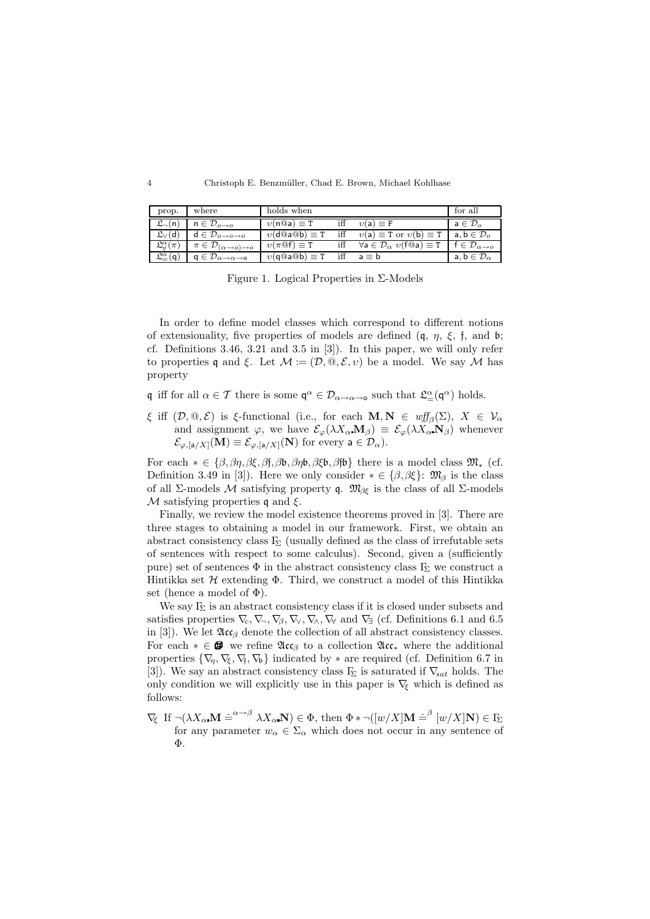4 Christoph E. Benzmüller, Chad E. Brown, Michael Kohlhase

| prop.                                   | where                                                    | holds when                                       |     |                                                               | for all                                 |
|-----------------------------------------|----------------------------------------------------------|--------------------------------------------------|-----|---------------------------------------------------------------|-----------------------------------------|
| $\mathfrak{L}_{-}(n)$                   | $n \in \mathcal{D}_{o \rightarrow o}$                    | $v(n@a) \equiv T$                                |     | $v(a) \equiv F$                                               | $a \in \mathcal{D}_o$                   |
| $\mathfrak{L}_\vee(\mathsf{d})$         | $\mathsf{d}\in\mathcal{D}_{o\rightarrow o\rightarrow o}$ | $v(\text{d}@\text{a}@\text{b})\equiv \texttt{T}$ | iff | $v(a) \equiv T$ or $v(b) \equiv T$                            | $a, b \in \mathcal{D}_o$                |
| $\mathfrak{L}_{\alpha}^{\alpha}(\pi)$   | $\pi \in \mathcal{D}_{(\alpha \to o) \to o}$             | $v(\pi \mathbb{Q} f) \equiv T$                   | iff | $\forall a \in \mathcal{D}_{\alpha}$ $v(\text{f@a}) \equiv T$ | $f \in \mathcal{D}_{\alpha \to \alpha}$ |
| $\mathfrak{L}_{-}^{\alpha}(\mathsf{q})$ | $q \in \mathcal{D}_{\alpha \to \alpha \to 0}$            | $v(\text{q@a@b}) \equiv T$                       |     | iff $a \equiv b$                                              | $a, b \in \mathcal{D}_{\alpha}$         |

Figure 1. Logical Properties in Σ-Models

In order to define model classes which correspond to different notions of extensionality, five properties of models are defined  $(q, \eta, \xi, f, \text{ and } \mathfrak{b})$ ; cf. Definitions 3.46, 3.21 and 3.5 in [3]). In this paper, we will only refer to properties q and ξ. Let  $\mathcal{M} := (\mathcal{D}, \mathbb{Q}, \mathcal{E}, v)$  be a model. We say  $\mathcal M$  has property

q iff for all  $\alpha \in \mathcal{T}$  there is some  $\mathsf{q}^{\alpha} \in \mathcal{D}_{\alpha \to \alpha \to \mathsf{o}}$  such that  $\mathfrak{L}_{=}^{\alpha}(\mathsf{q}^{\alpha})$  holds.

ξ iff  $(D, \mathbb{Q}, \mathcal{E})$  is ξ-functional (i.e., for each  $\mathbf{M}, \mathbf{N} \in \mathit{wf}_{\beta}(\Sigma)$ ,  $X \in \mathcal{V}_{\alpha}$ and assignment  $\varphi$ , we have  $\mathcal{E}_{\varphi}(\lambda X_{\alpha} \mathbf{M}_{\beta}) \equiv \mathcal{E}_{\varphi}(\lambda X_{\alpha} \mathbf{N}_{\beta})$  whenever  $\mathcal{E}_{\varphi,[a/X]}(\mathbf{M}) \equiv \mathcal{E}_{\varphi,[a/X]}(\mathbf{N})$  for every  $a \in \mathcal{D}_{\alpha}$ ).

For each  $* \in {\beta, \beta\eta, \beta\xi, \beta\eta, \beta\phi, \beta\eta\phi, \beta\xi\phi, \beta\eta\phi}$  there is a model class  $\mathfrak{M}_{*}$  (cf. Definition 3.49 in [3]). Here we only consider  $* \in {\beta, \beta \xi}$ :  $\mathfrak{M}_{\beta}$  is the class of all Σ-models  $M$  satisfying property q.  $\mathfrak{M}_{\beta\xi}$  is the class of all Σ-models M satisfying properties q and  $\xi$ .

Finally, we review the model existence theorems proved in [3]. There are three stages to obtaining a model in our framework. First, we obtain an abstract consistency class  $\Gamma_{\!\Sigma}$  (usually defined as the class of irrefutable sets of sentences with respect to some calculus). Second, given a (sufficiently pure) set of sentences  $\Phi$  in the abstract consistency class  $\Gamma_{\!\Sigma}$  we construct a Hintikka set  $H$  extending  $\Phi$ . Third, we construct a model of this Hintikka set (hence a model of  $\Phi$ ).

We say  $F<sub>S</sub>$  is an abstract consistency class if it is closed under subsets and satisfies properties  $\nabla_c, \nabla_x, \nabla_\theta, \nabla_\theta, \nabla_\theta, \nabla_\theta, \nabla_\theta, \nabla_\theta, \nabla_\theta, \nabla_\theta, \nabla_\theta, \nabla_\theta, \nabla_\theta, \nabla_\theta, \nabla_\theta, \nabla_\theta, \nabla_\theta, \nabla_\theta, \nabla_\theta, \nabla_\theta, \nabla_\theta, \nabla_\theta, \nabla_\theta, \nabla_\theta, \nabla_\theta, \nabla_\theta, \nabla_\theta, \nabla_\theta, \nabla_\theta$ in [3]). We let  $\mathfrak{Acc}_{\beta}$  denote the collection of all abstract consistency classes. For each  $* \in \mathcal{B}$  we refine  $\mathfrak{Acc}_{\beta}$  to a collection  $\mathfrak{Acc}_{*}$  where the additional properties  $\{\nabla_n, \nabla_\xi, \nabla_\zeta, \nabla_\phi\}$  indicated by  $*$  are required (cf. Definition 6.7 in [3]). We say an abstract consistency class  $\Gamma_{\!\Sigma}$  is saturated if  $\nabla_{\!\! sat}$  holds. The only condition we will explicitly use in this paper is  $\nabla_{\xi}$  which is defined as follows:

 $\nabla_{\xi}$  If  $\neg(\lambda X_{\alpha} \mathbf{M} \doteq^{\alpha \rightarrow \beta} \lambda X_{\alpha} \mathbf{N}) \in \Phi$ , then  $\Phi * \neg([w/X] \mathbf{M} \doteq^{\beta} [w/X] \mathbf{N}) \in \Gamma_{\!\Sigma}$ for any parameter  $w_{\alpha} \in \Sigma_{\alpha}$  which does not occur in any sentence of Φ.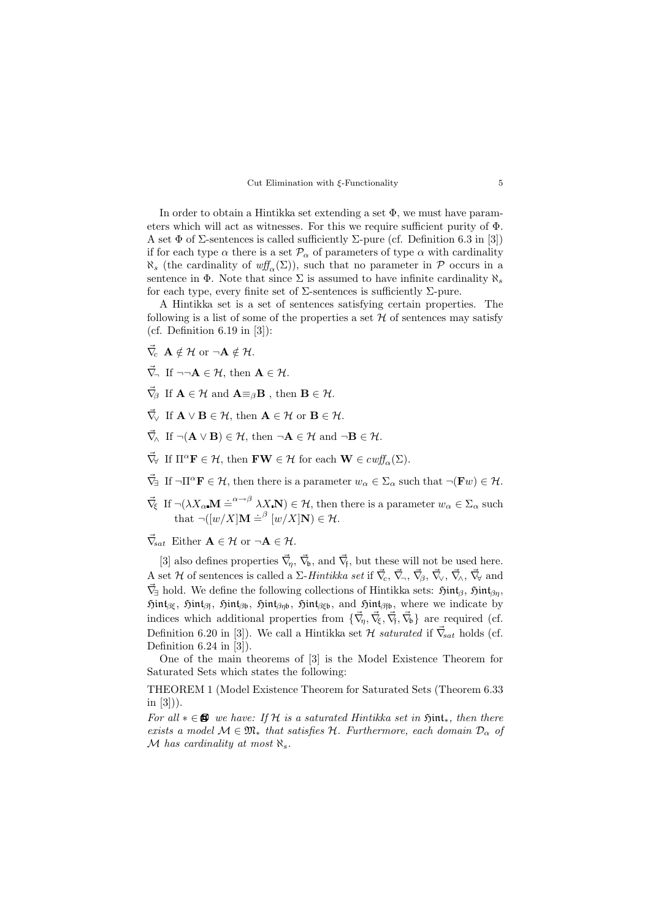#### Cut Elimination with ξ-Functionality 5

In order to obtain a Hintikka set extending a set  $\Phi$ , we must have parameters which will act as witnesses. For this we require sufficient purity of Φ. A set  $\Phi$  of  $\Sigma$ -sentences is called sufficiently  $\Sigma$ -pure (cf. Definition 6.3 in [3]) if for each type  $\alpha$  there is a set  $\mathcal{P}_{\alpha}$  of parameters of type  $\alpha$  with cardinality  $\aleph_s$  (the cardinality of  $\text{wff}_{\alpha}(\Sigma)$ ), such that no parameter in P occurs in a sentence in  $\Phi$ . Note that since  $\Sigma$  is assumed to have infinite cardinality  $\aleph_s$ for each type, every finite set of  $\Sigma$ -sentences is sufficiently  $\Sigma$ -pure.

A Hintikka set is a set of sentences satisfying certain properties. The following is a list of some of the properties a set  $\mathcal H$  of sentences may satisfy (cf. Definition  $6.19$  in  $[3]$ ):

- $\vec{\nabla}_{\!c} \; {\bf A} \notin {\cal H} \; {\rm or} \; \neg {\bf A} \notin {\cal H} .$
- $\vec{\nabla}$ . If  $\neg\neg \mathbf{A} \in \mathcal{H}$ , then  $\mathbf{A} \in \mathcal{H}$ .
- $\vec{\nabla}_{\!\beta}$  If  $\mathbf{A} \in \mathcal{H}$  and  $\mathbf{A} \equiv_{\beta} \mathbf{B}$ , then  $\mathbf{B} \in \mathcal{H}$ .
- $\vec{\nabla}_{\!\vee}$  If  $\mathbf{A} \vee \mathbf{B} \in \mathcal{H}$ , then  $\mathbf{A} \in \mathcal{H}$  or  $\mathbf{B} \in \mathcal{H}$ .
- $\vec{\nabla}_{\!\Lambda}$  If  $\neg(\mathbf{A} \vee \mathbf{B}) \in \mathcal{H}$ , then  $\neg \mathbf{A} \in \mathcal{H}$  and  $\neg \mathbf{B} \in \mathcal{H}$ .
- $\vec{\nabla}_{\forall}$  If  $\Pi^{\alpha} \mathbf{F} \in \mathcal{H}$ , then  $\mathbf{FW} \in \mathcal{H}$  for each  $\mathbf{W} \in \mathit{c wff}_{\alpha}(\Sigma)$ .
- $\vec{\nabla}_{\exists}$  If  $\neg \Pi^{\alpha} \mathbf{F} \in \mathcal{H}$ , then there is a parameter  $w_{\alpha} \in \Sigma_{\alpha}$  such that  $\neg(\mathbf{F}w) \in \mathcal{H}$ .
- $\vec{\nabla}_{\xi}$  If  $\neg(\lambda X_{\alpha} \mathbf{M} \doteq^{\alpha \to \beta} \lambda X \mathbf{N}) \in \mathcal{H}$ , then there is a parameter  $w_{\alpha} \in \Sigma_{\alpha}$  such that  $\neg([w/X] \mathbf{M} \doteq^{\beta} [w/X] \mathbf{N}) \in \mathcal{H}$ .

 $\vec{\nabla}_{\mathbf{s}at}$  Either  $\mathbf{A} \in \mathcal{H}$  or  $\neg \mathbf{A} \in \mathcal{H}$ .

[3] also defines properties  $\vec{\nabla}_{\eta}$ ,  $\vec{\nabla}_{\theta}$ , and  $\vec{\nabla}_{\mathfrak{f}}$ , but these will not be used here. A set H of sentences is called a  $\Sigma$ -Hintikka set if  $\vec{\nabla}_c$ ,  $\vec{\nabla}_\neg$ ,  $\vec{\nabla}_\beta$ ,  $\vec{\nabla}_\vee$ ,  $\vec{\nabla}_\wedge$ ,  $\vec{\nabla}_\forall$  and  $\vec{\nabla}_{\exists}$  hold. We define the following collections of Hintikka sets:  $\mathfrak{Hint}_{\beta}$ ,  $\mathfrak{Hint}_{\beta\eta}$ ,  $\mathfrak{Hint}_{\beta\xi}$ ,  $\mathfrak{Hint}_{\beta\beta}$ ,  $\mathfrak{Hint}_{\beta\beta\mathfrak{b}}$ ,  $\mathfrak{Hint}_{\beta\xi\mathfrak{b}}$ , and  $\mathfrak{Hint}_{\beta\mathfrak{f}\mathfrak{b}}$ , where we indicate by indices which additional properties from  $\{\vec{\nabla}_{\eta}, \vec{\nabla}_{\xi}, \vec{\nabla}_{\eta}, \vec{\nabla}_{\phi}\}\$ are required (cf. Definition 6.20 in [3]). We call a Hintikka set  $\mathcal H$  saturated if  $\vec{\nabla}_{\! sat}$  holds (cf. Definition 6.24 in [3]).

One of the main theorems of [3] is the Model Existence Theorem for Saturated Sets which states the following:

THEOREM 1 (Model Existence Theorem for Saturated Sets (Theorem 6.33 in  $[3]$ ).

For all  $* \in \mathbf{B}$  we have: If H is a saturated Hintikka set in  $\mathfrak{Hint}_*$ , then there exists a model  $M \in \mathfrak{M}_*$  that satisfies  $H$ . Furthermore, each domain  $\mathcal{D}_{\alpha}$  of M has cardinality at most  $\aleph_s$ .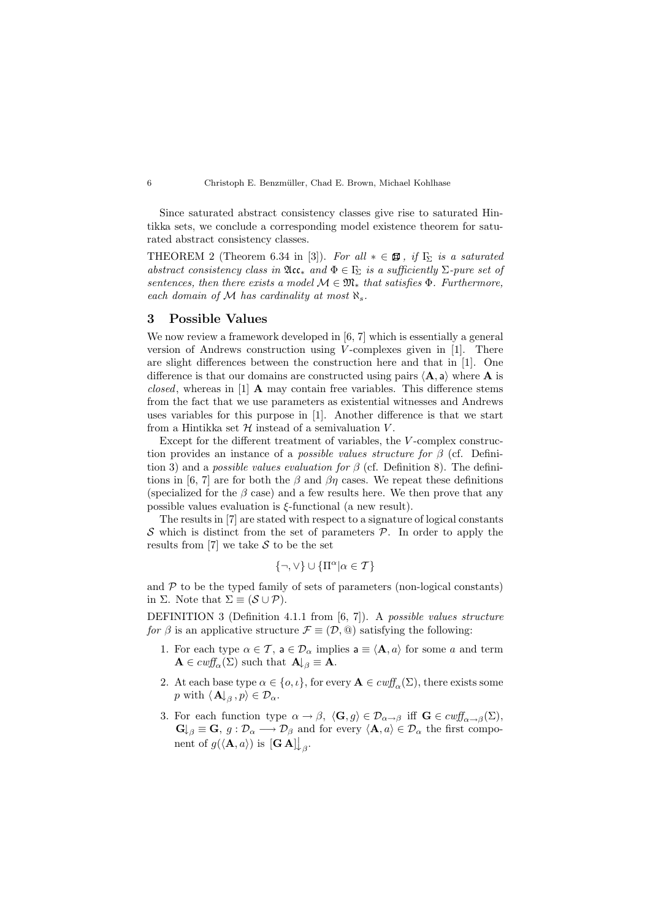Since saturated abstract consistency classes give rise to saturated Hintikka sets, we conclude a corresponding model existence theorem for saturated abstract consistency classes.

THEOREM 2 (Theorem 6.34 in [3]). For all  $* \in \mathbf{B}$ , if  $\Gamma_{\!\Sigma}$  is a saturated abstract consistency class in  $\mathfrak{Acc}_*$  and  $\Phi \in \Gamma_{\!\Sigma}$  is a sufficiently  $\Sigma$ -pure set of sentences, then there exists a model  $\mathcal{M} \in \mathfrak{M}_*$  that satisfies  $\Phi$ . Furthermore, each domain of M has cardinality at most  $\aleph_s$ .

# 3 Possible Values

We now review a framework developed in [6, 7] which is essentially a general version of Andrews construction using V -complexes given in [1]. There are slight differences between the construction here and that in [1]. One difference is that our domains are constructed using pairs  $\langle \mathbf{A}, \mathbf{a} \rangle$  where **A** is closed, whereas in [1]  $\bf{A}$  may contain free variables. This difference stems from the fact that we use parameters as existential witnesses and Andrews uses variables for this purpose in [1]. Another difference is that we start from a Hintikka set  $\mathcal H$  instead of a semivaluation  $V$ .

Except for the different treatment of variables, the V -complex construction provides an instance of a *possible values structure for*  $\beta$  (cf. Definition 3) and a *possible values evaluation for*  $\beta$  (cf. Definition 8). The definitions in [6, 7] are for both the  $\beta$  and  $\beta\eta$  cases. We repeat these definitions (specialized for the  $\beta$  case) and a few results here. We then prove that any possible values evaluation is  $\xi$ -functional (a new result).

The results in [7] are stated with respect to a signature of logical constants S which is distinct from the set of parameters  $P$ . In order to apply the results from [7] we take  $S$  to be the set

$$
\{\neg,\vee\} \cup \{\Pi^{\alpha}|\alpha \in \mathcal{T}\}
$$

and  $P$  to be the typed family of sets of parameters (non-logical constants) in  $\Sigma$ . Note that  $\Sigma \equiv (\mathcal{S} \cup \mathcal{P})$ .

DEFINITION 3 (Definition 4.1.1 from [6, 7]). A possible values structure for  $\beta$  is an applicative structure  $\mathcal{F} \equiv (\mathcal{D}, \mathcal{Q})$  satisfying the following:

- 1. For each type  $\alpha \in \mathcal{T}$ ,  $a \in \mathcal{D}_{\alpha}$  implies  $a \equiv \langle \mathbf{A}, a \rangle$  for some a and term  $\mathbf{A} \in \text{curl}_{\alpha}(\Sigma)$  such that  $\mathbf{A} \downarrow_{\beta} \equiv \mathbf{A}$ .
- 2. At each base type  $\alpha \in \{o, \iota\}$ , for every  $\mathbf{A} \in \text{cut}_{\alpha}(\Sigma)$ , there exists some p with  $\langle \mathbf{A} \rangle_{\beta}$ ,  $p \rangle \in \mathcal{D}_{\alpha}$ .
- 3. For each function type  $\alpha \to \beta$ ,  $\langle \mathbf{G}, g \rangle \in \mathcal{D}_{\alpha \to \beta}$  iff  $\mathbf{G} \in \text{cut}^{\mathcal{A}}_{\alpha \to \beta}(\Sigma)$ ,  $\mathbf{G}\downarrow_{\beta} \equiv \mathbf{G}, g : \mathcal{D}_{\alpha} \longrightarrow \mathcal{D}_{\beta}$  and for every  $\langle \mathbf{A}, a \rangle \in \mathcal{D}_{\alpha}$  the first component of  $g(\langle \mathbf{A}, a \rangle)$  is  $[\mathbf{G} \mathbf{A}] \big|_{\beta}$ .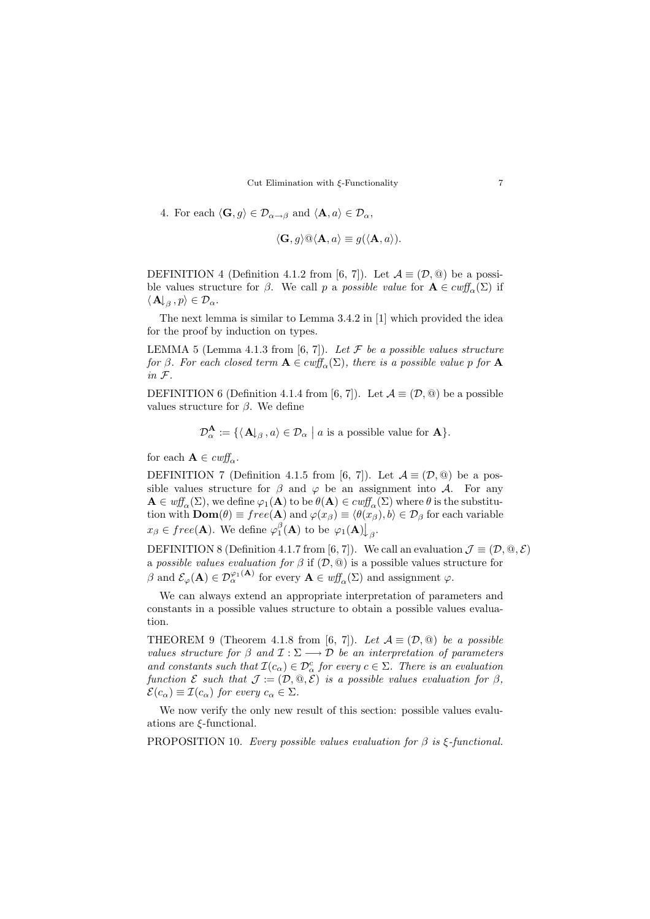Cut Elimination with  $\xi$ -Functionality 7

4. For each 
$$
\langle \mathbf{G}, g \rangle \in \mathcal{D}_{\alpha \to \beta}
$$
 and  $\langle \mathbf{A}, a \rangle \in \mathcal{D}_{\alpha}$ ,

$$
\langle \mathbf{G}, g \rangle @ \langle \mathbf{A}, a \rangle \equiv g(\langle \mathbf{A}, a \rangle).
$$

DEFINITION 4 (Definition 4.1.2 from [6, 7]). Let  $\mathcal{A} \equiv (\mathcal{D}, \mathbb{Q})$  be a possible values structure for  $\beta$ . We call p a possible value for  $\mathbf{A} \in \text{cut}_{\alpha}(\Sigma)$  if  $\langle \mathbf{A} \rangle_{\beta}, p \rangle \in \mathcal{D}_{\alpha}.$ 

The next lemma is similar to Lemma 3.4.2 in [1] which provided the idea for the proof by induction on types.

LEMMA 5 (Lemma 4.1.3 from [6, 7]). Let  $\mathcal F$  be a possible values structure for  $\beta$ . For each closed term  $\mathbf{A} \in \text{cutf}_{\alpha}(\Sigma)$ , there is a possible value p for  $\mathbf{A}$ in F.

DEFINITION 6 (Definition 4.1.4 from [6, 7]). Let  $\mathcal{A} \equiv (\mathcal{D}, \mathcal{Q})$  be a possible values structure for  $\beta$ . We define

$$
\mathcal{D}_{\alpha}^{\mathbf{A}}:=\{\langle\,\mathbf{A}\!\!\downarrow_{\beta}\,,a\rangle\in\mathcal{D}_{\alpha}\;\big|\;a\;\text{is a possible value for}\;\mathbf{A}\}.
$$

for each  $\mathbf{A} \in \textit{cuff}_\alpha$ .

DEFINITION 7 (Definition 4.1.5 from [6, 7]). Let  $\mathcal{A} \equiv (\mathcal{D}, \textcircled{a})$  be a possible values structure for  $\beta$  and  $\varphi$  be an assignment into A. For any  $\mathbf{A} \in \text{wff}_{\alpha}(\Sigma)$ , we define  $\varphi_1(\mathbf{A})$  to be  $\theta(\mathbf{A}) \in \text{cwff}_{\alpha}(\Sigma)$  where  $\theta$  is the substitution with  $\text{Dom}(\theta) \equiv free(\mathbf{A})$  and  $\varphi(x_{\beta}) \equiv \langle \theta(x_{\beta}), b \rangle \in \mathcal{D}_{\beta}$  for each variable  $x_{\beta} \in free(\mathbf{A})$ . We define  $\varphi_1^{\beta}(\mathbf{A})$  to be  $\varphi_1(\mathbf{A}) \downarrow_{\beta}$ .

DEFINITION 8 (Definition 4.1.7 from [6, 7]). We call an evaluation  $\mathcal{J} \equiv (\mathcal{D}, \mathcal{Q}, \mathcal{E})$ a possible values evaluation for  $\beta$  if  $(D, \mathbb{Q})$  is a possible values structure for  $\beta$  and  $\mathcal{E}_{\varphi}(\mathbf{A}) \in \mathcal{D}_{\alpha}^{\varphi_1(\mathbf{A})}$  for every  $\mathbf{A} \in \omega f_{\alpha}(\Sigma)$  and assignment  $\varphi$ .

We can always extend an appropriate interpretation of parameters and constants in a possible values structure to obtain a possible values evaluation.

THEOREM 9 (Theorem 4.1.8 from [6, 7]). Let  $\mathcal{A} \equiv (\mathcal{D}, \textcircled{a})$  be a possible values structure for  $\beta$  and  $\mathcal{I} : \Sigma \longrightarrow \mathcal{D}$  be an interpretation of parameters and constants such that  $\mathcal{I}(c_{\alpha}) \in \mathcal{D}_{\alpha}^{c}$  for every  $c \in \Sigma$ . There is an evaluation function E such that  $\mathcal{J} := (\mathcal{D}, \mathcal{Q}, \tilde{\mathcal{E}})$  is a possible values evaluation for  $\beta$ ,  $\mathcal{E}(c_{\alpha}) \equiv \mathcal{I}(c_{\alpha})$  for every  $c_{\alpha} \in \Sigma$ .

We now verify the only new result of this section: possible values evaluations are ξ-functional.

PROPOSITION 10. Every possible values evaluation for  $\beta$  is ξ-functional.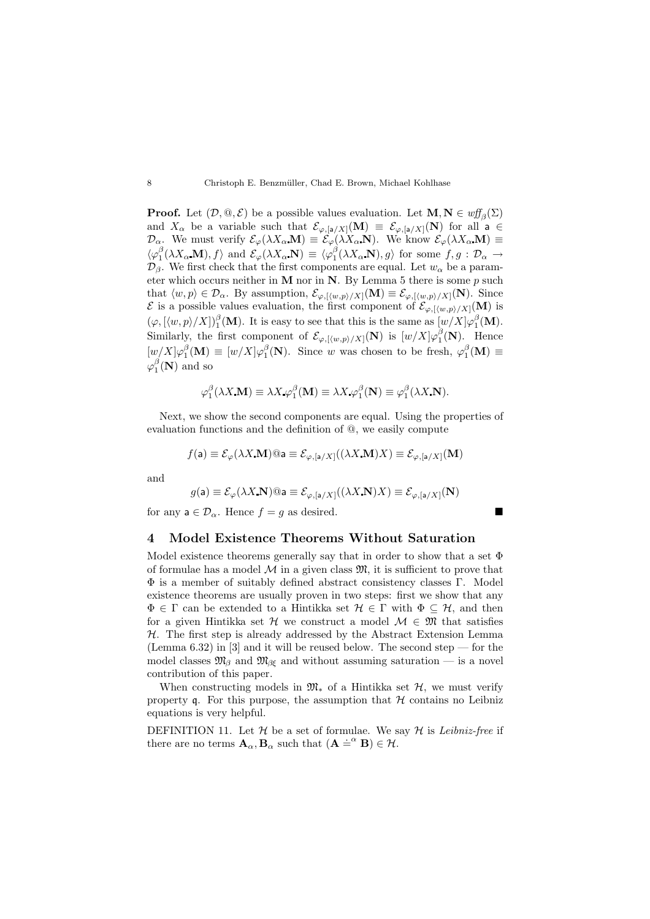**Proof.** Let  $(D, \mathbb{Q}, \mathcal{E})$  be a possible values evaluation. Let  $M, N \in \text{wff}_{\beta}(\Sigma)$ and  $X_{\alpha}$  be a variable such that  $\mathcal{E}_{\varphi,[a/X]}(\mathbf{M}) \equiv \mathcal{E}_{\varphi,[a/X]}(\mathbf{N})$  for all  $a \in$  $\mathcal{D}_{\alpha}$ . We must verify  $\mathcal{E}_{\varphi}(\lambda X_{\alpha} \mathbf{M}) \equiv \mathcal{E}_{\varphi}(\lambda X_{\alpha} \mathbf{N})$ . We know  $\mathcal{E}_{\varphi}(\lambda X_{\alpha} \mathbf{M}) \equiv$  $\langle \varphi_1^{\beta}(\lambda X_{\alpha} \mathbf{M}), f \rangle$  and  $\mathcal{E}_{\varphi}(\lambda X_{\alpha} \mathbf{N}) \equiv \langle \varphi_1^{\beta}(\lambda X_{\alpha} \mathbf{N}), g \rangle$  for some  $f, g : \mathcal{D}_{\alpha} \to$  $\mathcal{D}_{\beta}$ . We first check that the first components are equal. Let  $w_{\alpha}$  be a parameter which occurs neither in **M** nor in **N**. By Lemma 5 there is some  $p$  such that  $\langle w, p \rangle \in \mathcal{D}_{\alpha}$ . By assumption,  $\mathcal{E}_{\varphi, [\langle w, p \rangle / X]}(\mathbf{M}) \equiv \mathcal{E}_{\varphi, [\langle w, p \rangle / X]}(\mathbf{N})$ . Since  $\mathcal E$  is a possible values evaluation, the first component of  $\mathcal E_{\varphi,[(w,p)/X]}(\mathbf M)$  is  $(\varphi, [\langle w, p \rangle / X])_1^{\beta}(\mathbf{M})$ . It is easy to see that this is the same as  $[w/X] \varphi_1^{\beta}(\mathbf{M})$ . Similarly, the first component of  $\mathcal{E}_{\varphi,\llbracket \langle w,p \rangle/X]}(\mathbf{N})$  is  $[w/X] \varphi_1^{\beta}(\mathbf{N})$ . Hence  $[w/X]\varphi_1^{\beta}(\mathbf{M}) \equiv [w/X]\varphi_1^{\beta}(\mathbf{N})$ . Since w was chosen to be fresh,  $\varphi_1^{\beta}(\mathbf{M}) \equiv$  $\varphi_1^{\beta}(\mathbf{N})$  and so

$$
\varphi_1^{\beta}(\lambda X \mathbf{M}) \equiv \lambda X \varphi_1^{\beta}(\mathbf{M}) \equiv \lambda X \varphi_1^{\beta}(\mathbf{N}) \equiv \varphi_1^{\beta}(\lambda X \mathbf{N}).
$$

Next, we show the second components are equal. Using the properties of evaluation functions and the definition of @, we easily compute

$$
f(\mathsf{a}) \equiv \mathcal{E}_{\varphi}(\lambda X_i \mathbf{M}) \t\t\t\t@ \mathsf{a} \equiv \mathcal{E}_{\varphi, [\mathsf{a}/X]}((\lambda X_i \mathbf{M}) X_j \equiv \mathcal{E}_{\varphi, [\mathsf{a}/X]}(\mathbf{M})
$$

and

$$
g(\mathsf{a})\equiv \mathcal{E}_{\varphi}(\lambda X\,\mathbf{N})@{\mathsf{a}}\equiv \mathcal{E}_{\varphi,[\mathsf{a}/X]}((\lambda X\,\mathbf{N})X)\equiv \mathcal{E}_{\varphi,[\mathsf{a}/X]}(\mathbf{N})
$$

for any  $a \in \mathcal{D}_{\alpha}$ . Hence  $f = q$  as desired.

### 4 Model Existence Theorems Without Saturation

Model existence theorems generally say that in order to show that a set  $\Phi$ of formulae has a model  $\mathcal M$  in a given class  $\mathfrak M$ , it is sufficient to prove that Φ is a member of suitably defined abstract consistency classes Γ. Model existence theorems are usually proven in two steps: first we show that any  $\Phi \in \Gamma$  can be extended to a Hintikka set  $\mathcal{H} \in \Gamma$  with  $\Phi \subseteq \mathcal{H}$ , and then for a given Hintikka set H we construct a model  $\mathcal{M} \in \mathfrak{M}$  that satisfies  $H$ . The first step is already addressed by the Abstract Extension Lemma (Lemma 6.32) in [3] and it will be reused below. The second step — for the model classes  $\mathfrak{M}_{\beta}$  and  $\mathfrak{M}_{\beta\xi}$  and without assuming saturation — is a novel contribution of this paper.

When constructing models in  $\mathfrak{M}_*$  of a Hintikka set  $\mathcal{H}$ , we must verify property  $\mathfrak g$ . For this purpose, the assumption that  $\mathcal H$  contains no Leibniz equations is very helpful.

DEFINITION 11. Let  $\mathcal H$  be a set of formulae. We say  $\mathcal H$  is Leibniz-free if there are no terms  $\mathbf{A}_{\alpha}$ ,  $\mathbf{B}_{\alpha}$  such that  $(\mathbf{A} \doteq^{\alpha} \mathbf{B}) \in \mathcal{H}$ .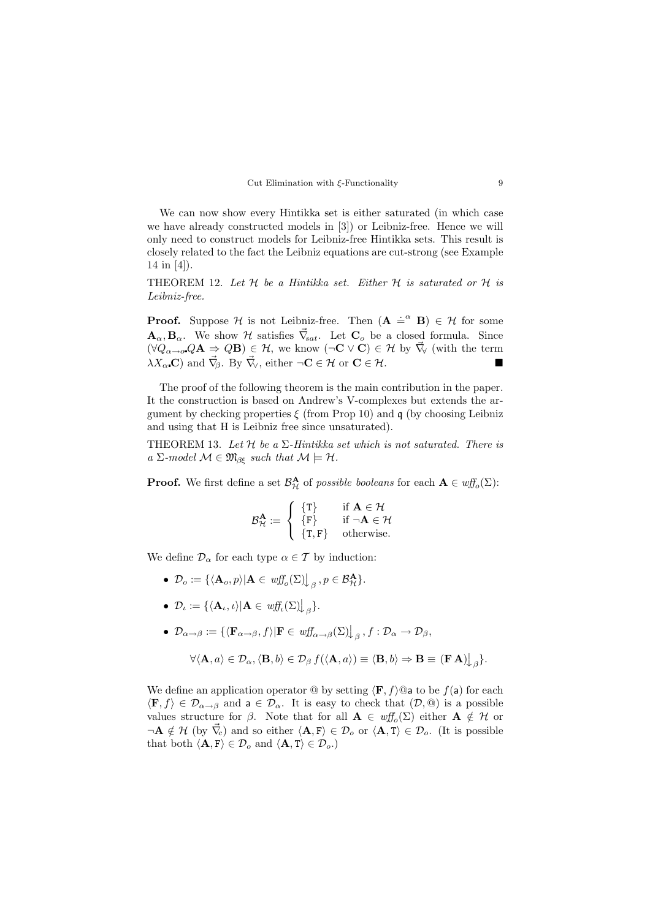

We can now show every Hintikka set is either saturated (in which case we have already constructed models in [3]) or Leibniz-free. Hence we will only need to construct models for Leibniz-free Hintikka sets. This result is closely related to the fact the Leibniz equations are cut-strong (see Example 14 in [4]).

THEOREM 12. Let  $H$  be a Hintikka set. Either  $H$  is saturated or  $H$  is Leibniz-free.

**Proof.** Suppose H is not Leibniz-free. Then  $(A \doteq^{\alpha} B) \in H$  for some  $\mathbf{A}_{\alpha}, \mathbf{B}_{\alpha}$ . We show H satisfies  $\vec{\nabla}_{\mathbf{s}at}$ . Let  $\mathbf{C}_{o}$  be a closed formula. Since  $(\forall Q_{\alpha\rightarrow\alpha}Q\mathbf{A}\Rightarrow Q\mathbf{B})\in\mathcal{H}$ , we know  $(\neg\mathbf{C}\vee\mathbf{C})\in\mathcal{H}$  by  $\vec{\nabla}_{\forall}$  (with the term  $\lambda X_{\alpha}$  C) and  $\vec{\nabla}_{\beta}$ . By  $\vec{\nabla}_{\gamma}$ , either  $\neg \mathbf{C} \in \mathcal{H}$  or  $\mathbf{C} \in \mathcal{H}$ .

The proof of the following theorem is the main contribution in the paper. It the construction is based on Andrew's V-complexes but extends the argument by checking properties  $\xi$  (from Prop 10) and q (by choosing Leibniz and using that H is Leibniz free since unsaturated).

THEOREM 13. Let  $H$  be a  $\Sigma$ -Hintikka set which is not saturated. There is a  $\Sigma$ -model  $\mathcal{M} \in \mathfrak{M}_{\beta \xi}$  such that  $\mathcal{M} \models \mathcal{H}$ .

**Proof.** We first define a set  $\mathcal{B}_{\mathcal{H}}^{\mathbf{A}}$  of possible booleans for each  $\mathbf{A} \in \text{wff}_o(\Sigma)$ :

$$
\mathcal{B}_{\mathcal{H}}^{\mathbf{A}} := \left\{ \begin{array}{ll} \{T\} & \text{ if } \mathbf{A} \in \mathcal{H} \\ \{F\} & \text{ if } \neg \mathbf{A} \in \mathcal{H} \\ \{T,F\} & \text{ otherwise. } \end{array} \right.
$$

We define  $\mathcal{D}_{\alpha}$  for each type  $\alpha \in \mathcal{T}$  by induction:

- $\mathcal{D}_o := {\langle A_o, p \rangle | \mathbf{A} \in \textit{wff}_o(\Sigma) \big|_{\beta}, p \in \mathcal{B}_{\mathcal{H}}^{\mathbf{A}}}.$
- $\mathcal{D}_{\iota} := {\{\langle \mathbf{A}_{\iota}, \iota \rangle | \mathbf{A} \in \mathit{wff}_{\iota}(\Sigma) \big|}_{\beta} \}.$
- $\mathcal{D}_{\alpha \to \beta} := {\langle \langle \mathbf{F}_{\alpha \to \beta}, f \rangle | \mathbf{F} \in \mathit{wff}_{\alpha \to \beta}(\Sigma) \rangle}_{\beta}, f : \mathcal{D}_{\alpha} \to \mathcal{D}_{\beta},$

$$
\forall \langle \mathbf{A},a \rangle \in \mathcal{D}_{\alpha}, \langle \mathbf{B},b \rangle \in \mathcal{D}_{\beta} f(\langle \mathbf{A},a \rangle) \equiv \langle \mathbf{B},b \rangle \Rightarrow \mathbf{B} \equiv (\mathbf{F} \,\mathbf{A}) \big|_{\beta} \}.
$$

We define an application operator  $\mathcal Q$  by setting  $\langle \mathbf{F}, f \rangle \mathcal Q$  to be  $f(\mathsf{a})$  for each  $\langle \mathbf{F}, f \rangle \in \mathcal{D}_{\alpha \to \beta}$  and  $\mathbf{a} \in \mathcal{D}_{\alpha}$ . It is easy to check that  $(\mathcal{D}, \mathbb{Q})$  is a possible values structure for  $\beta$ . Note that for all  $\mathbf{A} \in \mathit{wff}_{o}(\Sigma)$  either  $\mathbf{A} \notin \mathcal{H}$  or  $\neg \mathbf{A} \notin \mathcal{H}$  (by  $\vec{\nabla}_c$ ) and so either  $\langle \mathbf{A}, \mathbf{F} \rangle \in \mathcal{D}_o$  or  $\langle \mathbf{A}, \mathbf{T} \rangle \in \mathcal{D}_o$ . (It is possible that both  $\langle \mathbf{A}, \mathbf{F} \rangle \in \mathcal{D}_o$  and  $\langle \mathbf{A}, \mathbf{T} \rangle \in \mathcal{D}_o$ .)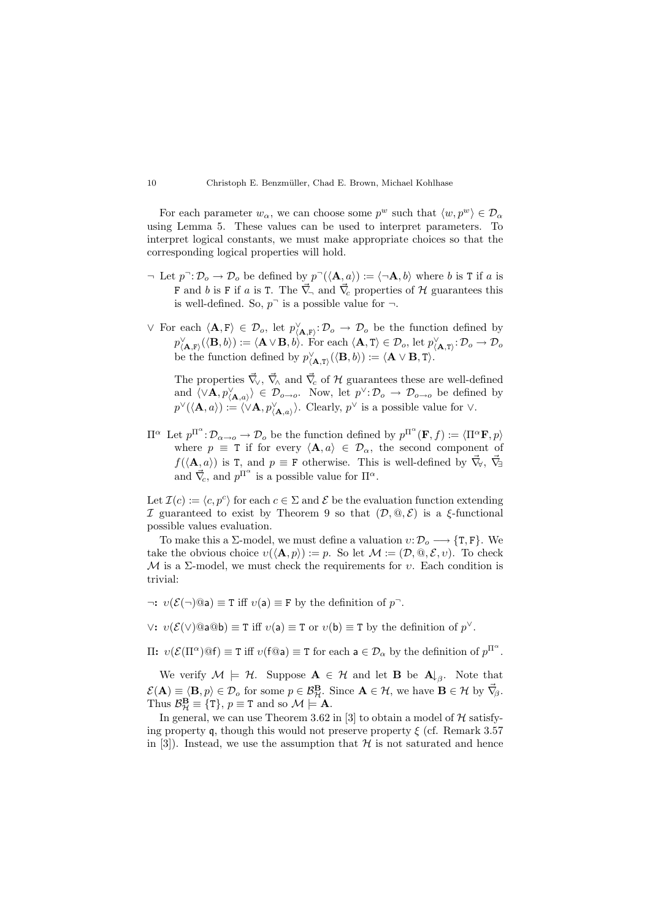For each parameter  $w_{\alpha}$ , we can choose some  $p^w$  such that  $\langle w, p^w \rangle \in \mathcal{D}_{\alpha}$ using Lemma 5. These values can be used to interpret parameters. To interpret logical constants, we must make appropriate choices so that the corresponding logical properties will hold.

- $\neg$  Let  $p \neg : \mathcal{D}_o \to \mathcal{D}_o$  be defined by  $p \neg (\langle \mathbf{A}, a \rangle) := \langle \neg \mathbf{A}, b \rangle$  where b is T if a is F and b is F if a is T. The  $\vec{\nabla}$  and  $\vec{\nabla}$  properties of H guarantees this is well-defined. So,  $p^-$  is a possible value for  $\neg$ .
- ∨ For each  $\langle \mathbf{A}, \mathbf{F} \rangle$  ∈  $\mathcal{D}_o$ , let  $p_{\langle \mathbf{A}, \mathbf{F} \rangle}^{\vee}$ :  $\mathcal{D}_o \to \mathcal{D}_o$  be the function defined by  $p_{\langle \mathbf{A}, \mathbf{F} \rangle}^{\vee}(\langle \mathbf{B}, b \rangle) := \langle \mathbf{A} \vee \mathbf{B}, b \rangle. \text{ For each } \langle \mathbf{A}, \mathbf{T} \rangle \in \mathcal{D}_o, \text{ let } p_{\langle \mathbf{A}, \mathbf{T} \rangle}^{\vee} : \mathcal{D}_o \to \mathcal{D}_o$ be the function defined by  $p_{\langle \mathbf{A}, \mathbf{T} \rangle}^{\vee}(\langle \mathbf{B}, b \rangle) := \langle \mathbf{A} \vee \mathbf{B}, \mathbf{T} \rangle.$

The properties  $\vec{\nabla}_{\!\vee}$ ,  $\vec{\nabla}_{\!\wedge}$  and  $\vec{\nabla}_{\!\!c}$  of H guarantees these are well-defined and  $\langle \vee \mathbf{A}, p \rangle_{\mathbf{A},a} \rangle \in \mathcal{D}_{o\rightarrow o}$ . Now, let  $p^{\vee} \colon \mathcal{D}_{o} \rightarrow \mathcal{D}_{o\rightarrow o}$  be defined by  $p^{\vee}(\langle \mathbf{A}, a \rangle) := \langle \nabla \mathbf{A}, p_{\langle \mathbf{A}, a \rangle}^{\vee} \rangle$ . Clearly,  $p^{\vee}$  is a possible value for  $\vee$ .

 $\Pi^{\alpha}$  Let  $p^{\Pi^{\alpha}}:\mathcal{D}_{\alpha\to o}\to\mathcal{D}_o$  be the function defined by  $p^{\Pi^{\alpha}}(\mathbf{F},f):=\langle\Pi^{\alpha}\mathbf{F},p\rangle$ where  $p \equiv$  T if for every  $\langle \mathbf{A}, a \rangle \in \mathcal{D}_{\alpha}$ , the second component of  $f(\langle \mathbf{A}, a \rangle)$  is T, and  $p \equiv \mathbf{F}$  otherwise. This is well-defined by  $\vec{\nabla}_{\mathbf{y}}, \vec{\nabla}_{\exists}$ and  $\vec{\nabla}_c$ , and  $p^{\Pi^{\alpha}}$  is a possible value for  $\Pi^{\alpha}$ .

Let  $\mathcal{I}(c) := \langle c, p^c \rangle$  for each  $c \in \Sigma$  and  $\mathcal E$  be the evaluation function extending I guaranteed to exist by Theorem 9 so that  $(D, \mathcal{Q}, \mathcal{E})$  is a  $\xi$ -functional possible values evaluation.

To make this a  $\Sigma$ -model, we must define a valuation  $v: \mathcal{D}_{o} \longrightarrow \{\text{T}, \text{F}\}\.$  We take the obvious choice  $v(\langle \mathbf{A}, p \rangle) := p$ . So let  $\mathcal{M} := (\mathcal{D}, \mathbb{Q}, \mathcal{E}, v)$ . To check  $M$  is a  $\Sigma$ -model, we must check the requirements for v. Each condition is trivial:

 $\neg: v(\mathcal{E}(\neg)\textcircled{a}) \equiv T \text{ iff } v(a) \equiv F \text{ by the definition of } p^{-}$ .

 $\vee: v(\mathcal{E}(\vee) @a@b) \equiv T \text{ iff } v(a) \equiv T \text{ or } v(b) \equiv T \text{ by the definition of } p^{\vee}.$ 

 $\Pi: v(\mathcal{E}(\Pi^{\alpha})\mathbb{Q}f) \equiv T \text{ iff } v(f\mathbb{Q}a) \equiv T \text{ for each } a \in \mathcal{D}_{\alpha} \text{ by the definition of } p^{\Pi^{\alpha}}.$ 

We verify  $M \models \mathcal{H}$ . Suppose  $\mathbf{A} \in \mathcal{H}$  and let **B** be  $\mathbf{A}_{\downarrow \beta}$ . Note that  $\mathcal{E}(\mathbf{A}) \equiv \langle \mathbf{B}, p \rangle \in \mathcal{D}_{o}$  for some  $p \in \mathcal{B}_{\mathcal{H}}^{\mathbf{B}}$ . Since  $\mathbf{A} \in \mathcal{H}$ , we have  $\mathbf{B} \in \mathcal{H}$  by  $\vec{\nabla}_{\!\beta}$ . Thus  $\mathcal{B}_{\mathcal{H}}^{\mathbf{B}} \equiv \{T\}, p \equiv T \text{ and so } \mathcal{M} \models \mathbf{A}.$ 

In general, we can use Theorem 3.62 in [3] to obtain a model of  $H$  satisfying property q, though this would not preserve property  $\xi$  (cf. Remark 3.57) in [3]). Instead, we use the assumption that  $\mathcal H$  is not saturated and hence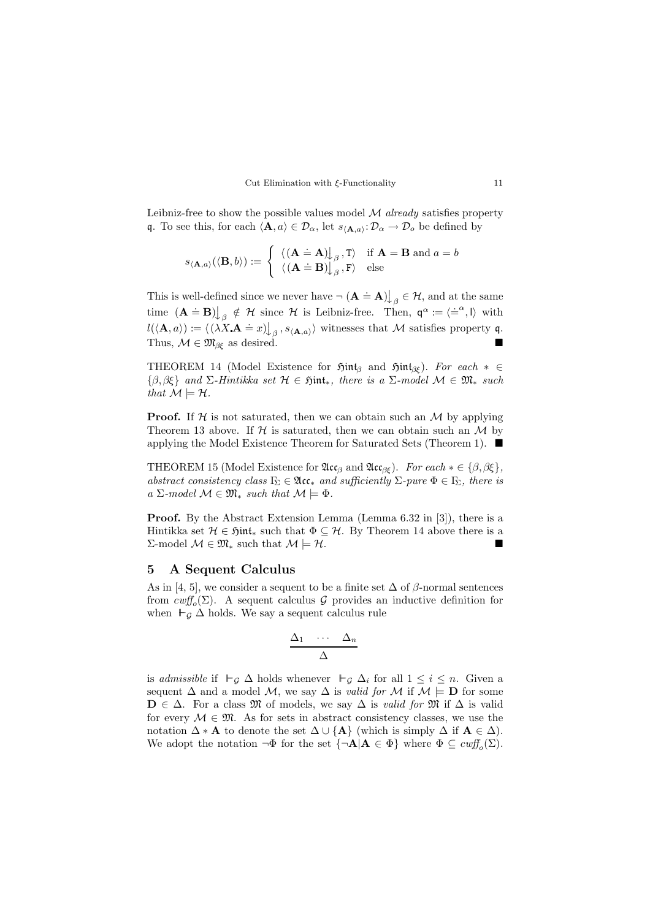Cut Elimination with ξ-Functionality 11

Leibniz-free to show the possible values model  $M$  *already* satisfies property q. To see this, for each  $\langle \mathbf{A}, a \rangle \in \mathcal{D}_{\alpha}$ , let  $s_{\langle \mathbf{A}, a \rangle} : \mathcal{D}_{\alpha} \to \mathcal{D}_{o}$  be defined by

$$
s_{\langle \mathbf{A},a\rangle}(\langle \mathbf{B},b\rangle):=\left\{\begin{array}{ll} \langle (\mathbf{A}\doteq\mathbf{A}){\downarrow}_{\beta}\, , \mathrm{T}\rangle & \text{if } \mathbf{A}=\mathbf{B} \text{ and } a=b \\ \langle (\mathbf{A}\doteq\mathbf{B}){\downarrow}_{\beta}\, , \mathrm{F}\rangle & \text{else} \end{array}\right.
$$

This is well-defined since we never have  $\neg (\mathbf{A} \doteq \mathbf{A}) \bigcup_{\beta} \in \mathcal{H}$ , and at the same time  $(\mathbf{A} \doteq \mathbf{B})\big|_{\beta} \notin \mathcal{H}$  since  $\mathcal{H}$  is Leibniz-free. Then,  $\mathbf{q}^{\alpha} := \langle \doteq^{\alpha}, I \rangle$  with  $l(\langle \mathbf{A}, a \rangle) := \langle ( \lambda X, \mathbf{A} = x) \rangle_{\beta}, s_{\langle \mathbf{A}, a \rangle} \rangle$  witnesses that M satisfies property q. Thus,  $\mathcal{M} \in \mathfrak{M}_{\beta \xi}$  as desired.

THEOREM 14 (Model Existence for  $\mathfrak{Hint}_{\beta}$  and  $\mathfrak{Hint}_{\beta \xi}$ ). For each  $* \in$  $\{\beta,\beta\xi\}$  and  $\Sigma$ -Hintikka set  $\mathcal{H} \in \mathfrak{Simt}_*$ , there is a  $\Sigma$ -model  $\mathcal{M} \in \mathfrak{M}_*$  such that  $\mathcal{M} \models \mathcal{H}$ .

**Proof.** If  $\mathcal{H}$  is not saturated, then we can obtain such an  $\mathcal{M}$  by applying Theorem 13 above. If  $H$  is saturated, then we can obtain such an  $M$  by applying the Model Existence Theorem for Saturated Sets (Theorem 1).

THEOREM 15 (Model Existence for  $\mathfrak{Acc}_{\beta}$  and  $\mathfrak{Acc}_{\beta\xi}$ ). For each  $*\in \{\beta, \beta\xi\},\$ abstract consistency class  $\Gamma_{\!\Sigma}\in \mathfrak{Acc}_*$  and sufficiently  $\Sigma$ -pure  $\Phi\in\Gamma_{\!\Sigma}$ , there is  $a \Sigma$ -model  $\mathcal{M} \in \mathfrak{M}_*$  such that  $\mathcal{M} \models \Phi$ .

Proof. By the Abstract Extension Lemma (Lemma 6.32 in [3]), there is a Hintikka set  $\mathcal{H} \in \mathfrak{Hint}_*$  such that  $\Phi \subseteq \mathcal{H}$ . By Theorem 14 above there is a Σ-model  $M ∈ \mathfrak{M}_*$  such that  $M \models \mathcal{H}$ .

#### 5 A Sequent Calculus

As in [4, 5], we consider a sequent to be a finite set  $\Delta$  of  $\beta$ -normal sentences from  $\text{cutf}_o(\Sigma)$ . A sequent calculus  $\mathcal G$  provides an inductive definition for when  $\vdash_{\mathcal{G}} \Delta$  holds. We say a sequent calculus rule

$$
\frac{\Delta_1 \cdots \Delta_n}{\Delta}
$$

is admissible if  $\vdash_{\mathcal{G}} \Delta$  holds whenever  $\vdash_{\mathcal{G}} \Delta_i$  for all  $1 \leq i \leq n$ . Given a sequent  $\Delta$  and a model M, we say  $\Delta$  is valid for M if  $\mathcal{M} \models \mathbf{D}$  for some  $\mathbf{D} \in \Delta$ . For a class M of models, we say  $\Delta$  is valid for M if  $\Delta$  is valid for every  $M \in \mathfrak{M}$ . As for sets in abstract consistency classes, we use the notation  $\Delta * A$  to denote the set  $\Delta \cup \{A\}$  (which is simply  $\Delta$  if  $A \in \Delta$ ). We adopt the notation  $\neg \Phi$  for the set  $\{\neg \mathbf{A} | \mathbf{A} \in \Phi\}$  where  $\Phi \subseteq \text{cutf}_o(\Sigma)$ .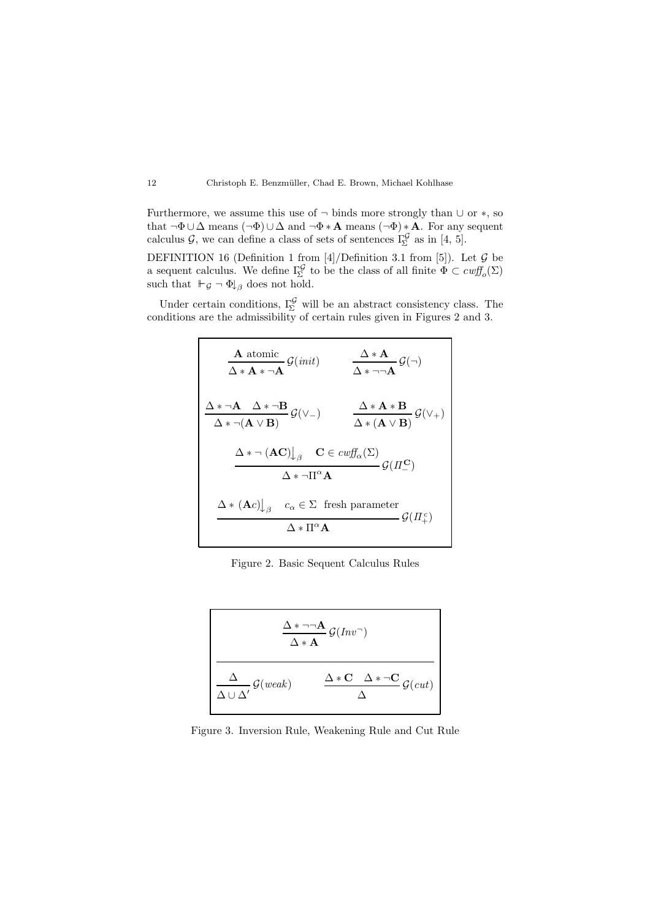Furthermore, we assume this use of  $\neg$  binds more strongly than  $\cup$  or  $\ast$ , so that  $\neg \Phi \cup \Delta$  means  $(\neg \Phi) \cup \Delta$  and  $\neg \Phi * \mathbf{A}$  means  $(\neg \Phi) * \mathbf{A}$ . For any sequent calculus  $\mathcal{G}$ , we can define a class of sets of sentences  $\Gamma_{\Sigma}^{\mathcal{G}}$  as in [4, 5].

DEFINITION 16 (Definition 1 from [4]/Definition 3.1 from [5]). Let  $\mathcal G$  be a sequent calculus. We define  $\Gamma_{\!\Sigma}^{\mathcal{G}}$  to be the class of all finite  $\Phi \subset \text{cutf}_o(\Sigma)$ such that  $\vdash_{\mathcal{G}} \neg \Phi$ <sub>\β</sub> does not hold.

Under certain conditions,  $\Gamma_{\Sigma}^{\mathcal{G}}$  will be an abstract consistency class. The conditions are the admissibility of certain rules given in Figures 2 and 3.

| A atomic                                                   | $\mathcal{G}(init)$                           | $\Delta * \mathbf{A}$                     | $\mathcal{G}(\neg)$     |
|------------------------------------------------------------|-----------------------------------------------|-------------------------------------------|-------------------------|
| $\Delta * \mathbf{A} * \neg \mathbf{A}$                    | $\mathcal{G}(\neg)$                           |                                           |                         |
| $\Delta * \neg (\mathbf{A} \vee \mathbf{B})$               | $\mathcal{G}(\vee_{-})$                       | $\Delta * \mathbf{A} * \mathbf{B}$        | $\mathcal{G}(\vee_{+})$ |
| $\Delta * \neg (\mathbf{A} \vee \mathbf{B})$               | $\mathcal{G}(\mathbf{A} \vee \mathbf{B})$     | $\mathcal{G}(\mathbf{A} \vee \mathbf{B})$ |                         |
| $\Delta * \neg (\mathbf{A} \mathbf{C}) \downarrow_{\beta}$ | $\mathbf{C} \in \text{curl}_{\alpha}(\Sigma)$ |                                           |                         |
| $\Delta * \neg \Pi^{\alpha} \mathbf{A}$                    | $\mathcal{G}(\Pi_{-}^{\mathbf{C}})$           |                                           |                         |
| $\Delta * (\mathbf{A}c) \downarrow_{\beta}$                | $c_{\alpha} \in \Sigma$ fresh parameter       |                                           |                         |
| $\Delta * \Pi^{\alpha} \mathbf{A}$                         | $\mathcal{G}(\Pi_{+}^c)$                      |                                           |                         |

Figure 2. Basic Sequent Calculus Rules

$$
\frac{\Delta * \neg \neg \mathbf{A}}{\Delta * \mathbf{A}} \mathcal{G}(Inv^{-})
$$
\n
$$
\frac{\Delta}{\Delta \cup \Delta'} \mathcal{G}(weak) \qquad \frac{\Delta * \mathbf{C} \quad \Delta * \neg \mathbf{C}}{\Delta} \mathcal{G}(cut)
$$

Figure 3. Inversion Rule, Weakening Rule and Cut Rule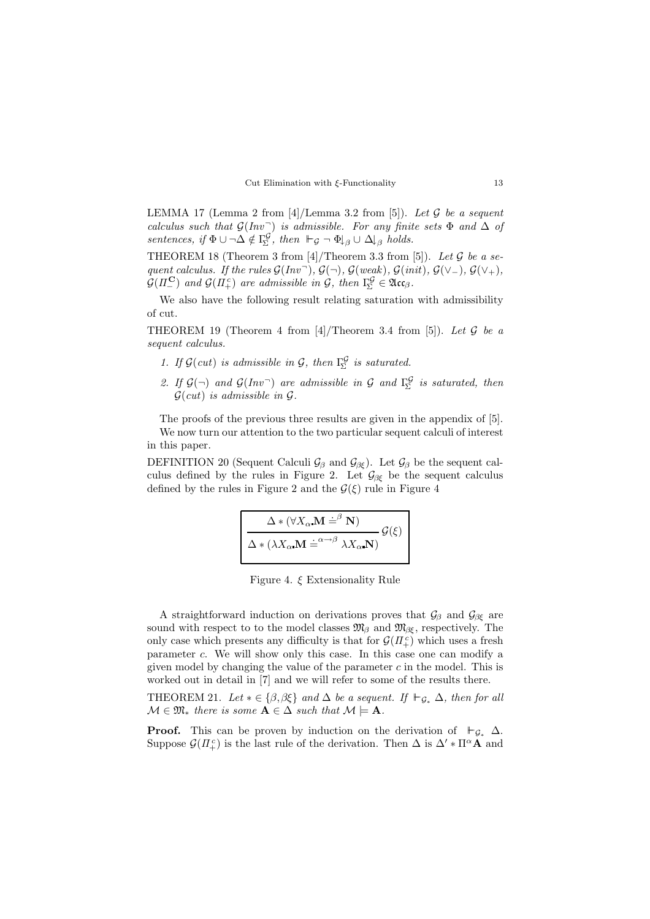

LEMMA 17 (Lemma 2 from  $[4]$ /Lemma 3.2 from [5]). Let  $\mathcal G$  be a sequent calculus such that  $\mathcal{G}(Inv^-)$  is admissible. For any finite sets  $\Phi$  and  $\Delta$  of sentences, if  $\Phi \cup \neg \Delta \notin \Gamma_{\!\Sigma}^{\mathcal{G}}$ , then  $\vdash_{\mathcal{G}} \neg \Phi \downarrow_{\beta} \cup \Delta \downarrow_{\beta}$  holds.

THEOREM 18 (Theorem 3 from  $[4]$ /Theorem 3.3 from  $[5]$ ). Let  $G$  be a sequent calculus. If the rules  $\mathcal{G}(Inv^-)$ ,  $\mathcal{G}(\neg)$ ,  $\mathcal{G}(weak)$ ,  $\mathcal{G}(init)$ ,  $\mathcal{G}(\vee_-)$ ,  $\mathcal{G}(\vee_+)$ ,  $\mathcal{G}(\Pi_{-}^{\mathbf{C}})$  and  $\mathcal{G}(\Pi_{+}^{c})$  are admissible in  $\mathcal{G}$ , then  $\Gamma_{\!\Sigma}^{\mathcal{G}} \in \mathfrak{Acc}_{\beta}$ .

We also have the following result relating saturation with admissibility of cut.

THEOREM 19 (Theorem 4 from [4]/Theorem 3.4 from [5]). Let G be a sequent calculus.

- 1. If  $\mathcal{G}(cut)$  is admissible in  $\mathcal{G}$ , then  $\Gamma_{\!\Sigma}^{\mathcal{G}}$  is saturated.
- 2. If  $\mathcal{G}(\neg)$  and  $\mathcal{G}(Inv\neg)$  are admissible in  $\mathcal{G}$  and  $\Gamma_{\Sigma}^{\mathcal{G}}$  is saturated, then  $\mathcal{G}(cut)$  is admissible in  $\mathcal{G}.$

The proofs of the previous three results are given in the appendix of [5]. We now turn our attention to the two particular sequent calculi of interest in this paper.

DEFINITION 20 (Sequent Calculi  $\mathcal{G}_{\beta}$  and  $\mathcal{G}_{\beta\xi}$ ). Let  $\mathcal{G}_{\beta}$  be the sequent calculus defined by the rules in Figure 2. Let  $\mathcal{G}_{\beta\xi}$  be the sequent calculus defined by the rules in Figure 2 and the  $\mathcal{G}(\xi)$  rule in Figure 4

$$
\frac{\Delta * (\forall X_{\alpha} \mathbf{M} \doteq^{\beta} \mathbf{N})}{\Delta * (\lambda X_{\alpha} \mathbf{M} \doteq^{\alpha \to \beta} \lambda X_{\alpha} \mathbf{N})} \mathcal{G}(\xi)
$$

Figure 4. ξ Extensionality Rule

A straightforward induction on derivations proves that  $\mathcal{G}_{\beta}$  and  $\mathcal{G}_{\beta\xi}$  are sound with respect to to the model classes  $\mathfrak{M}_{\beta}$  and  $\mathfrak{M}_{\beta\xi}$ , respectively. The only case which presents any difficulty is that for  $\mathcal{G}(H_+^c)$  which uses a fresh parameter c. We will show only this case. In this case one can modify a given model by changing the value of the parameter  $c$  in the model. This is worked out in detail in [7] and we will refer to some of the results there.

THEOREM 21. Let  $*\in \{\beta, \beta \xi\}$  and  $\Delta$  be a sequent. If  $\vdash_{\mathcal{G}_*} \Delta$ , then for all  $\mathcal{M} \in \mathfrak{M}_*$  there is some  $\mathbf{A} \in \Delta$  such that  $\mathcal{M} \models \mathbf{A}$ .

**Proof.** This can be proven by induction on the derivation of  $\vdash_{\mathcal{G}_*} \Delta$ . Suppose  $\mathcal{G}(H_+^c)$  is the last rule of the derivation. Then  $\Delta$  is  $\Delta' * \Pi^{\alpha} \stackrel{\sim}{\mathbf{A}}$  and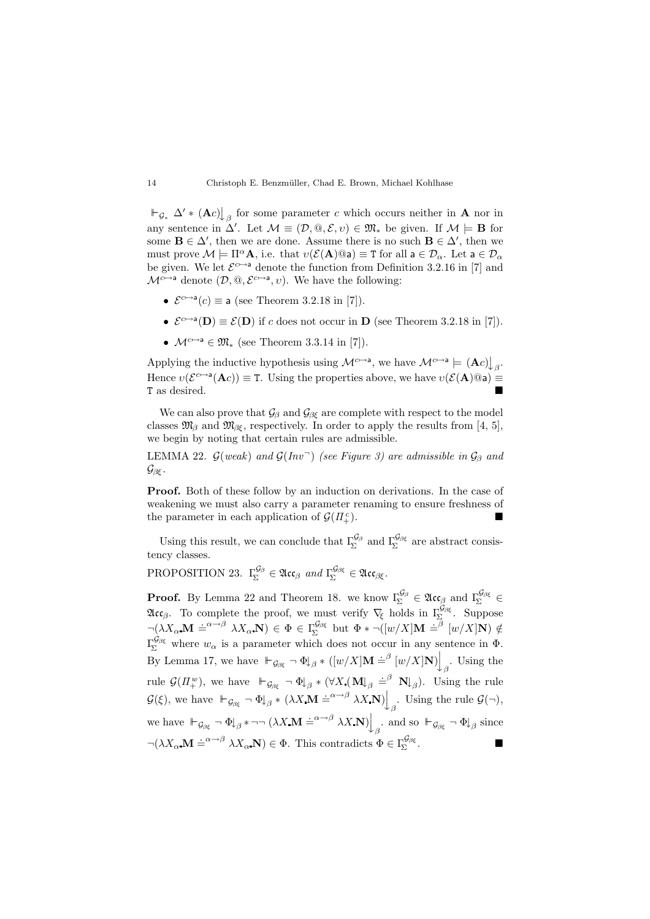$\vdash_{\mathcal{G}_*} \Delta' * (\mathbf{A}c) \downarrow_{\beta}$  for some parameter c which occurs neither in **A** nor in any sentence in  $\Delta'$ . Let  $\mathcal{M} \equiv (\mathcal{D}, \mathbb{Q}, \mathcal{E}, v) \in \mathfrak{M}_{*}$  be given. If  $\mathcal{M} \models \mathbf{B}$  for some  $\mathbf{B} \in \Delta'$ , then we are done. Assume there is no such  $\mathbf{B} \in \Delta'$ , then we must prove  $\mathcal{M} \models \Pi^{\alpha} \mathbf{A}$ , i.e. that  $v(\mathcal{E}(\mathbf{A})@a) \equiv \mathbf{T}$  for all  $a \in \mathcal{D}_{\alpha}$ . Let  $a \in \mathcal{D}_{\alpha}$ be given. We let  $\mathcal{E}^{c\mapsto a}$  denote the function from Definition 3.2.16 in [7] and  $\mathcal{M}^{c\mapsto a}$  denote  $(\mathcal{D}, \mathbb{Q}, \mathcal{E}^{c\mapsto a}, v)$ . We have the following:

- $\mathcal{E}^{c\mapsto a}(c) \equiv$  a (see Theorem 3.2.18 in [7]).
- $\mathcal{E}^{c\mapsto a}(\mathbf{D}) \equiv \mathcal{E}(\mathbf{D})$  if c does not occur in  $\mathbf{D}$  (see Theorem 3.2.18 in [7]).
- $\mathcal{M}^{c\mapsto a} \in \mathfrak{M}_*$  (see Theorem 3.3.14 in [7]).

Applying the inductive hypothesis using  $\mathcal{M}^{c\mapsto a}$ , we have  $\mathcal{M}^{c\mapsto a} \models (\mathbf{A}c) \downarrow_{\beta}$ . Hence  $v(\mathcal{E}^{c\mapsto a}(\mathbf{A}c)) \equiv T$ . Using the properties above, we have  $v(\mathcal{E}(\mathbf{A})@a) \equiv$ T as desired.

We can also prove that  $\mathcal{G}_{\beta}$  and  $\mathcal{G}_{\beta\epsilon}$  are complete with respect to the model classes  $\mathfrak{M}_{\beta}$  and  $\mathfrak{M}_{\beta\xi}$ , respectively. In order to apply the results from [4, 5], we begin by noting that certain rules are admissible.

LEMMA 22.  $\mathcal{G}(weak)$  and  $\mathcal{G}(Inv^-)$  (see Figure 3) are admissible in  $\mathcal{G}_{\beta}$  and  $\mathcal{G}_{\beta\xi}$  .

**Proof.** Both of these follow by an induction on derivations. In the case of weakening we must also carry a parameter renaming to ensure freshness of the parameter in each application of  $\mathcal{G}(\Pi_{+}^{c})$ .  $\left( \begin{matrix} c \\ + \end{matrix} \right)$ .

Using this result, we can conclude that  $\Gamma_{\Sigma}^{\mathcal{G}_{\beta}}$  and  $\Gamma_{\Sigma}^{\mathcal{G}_{\beta\xi}}$  are abstract consistency classes.

PROPOSITION 23.  $\Gamma_{\Sigma}^{\mathcal{G}_{\beta}} \in \mathfrak{Acc}_{\beta}$  and  $\Gamma_{\Sigma}^{\mathcal{G}_{\beta\xi}} \in \mathfrak{Acc}_{\beta\xi}$ .

**Proof.** By Lemma 22 and Theorem 18. we know  $\Gamma_{\Sigma}^{\mathcal{G}_{\beta}} \in \mathfrak{Acc}_{\beta}$  and  $\Gamma_{\Sigma}^{\mathcal{G}_{\beta\xi}} \in$  $\mathfrak{Acc}_{\beta}$ . To complete the proof, we must verify  $\nabla_{\xi}$  holds in  $\Gamma_{\Sigma}^{\mathcal{G}_{\beta\xi}}$ . Suppose  $\neg\left(\lambda X_{\alpha} \mathbf{M} \doteq^{\alpha \rightarrow \beta} \lambda X_{\alpha} \mathbf{N}\right) \in \Phi \in \Gamma_{\!\Sigma}^{\mathcal{G}_{\beta \xi}}$  but  $\Phi * \neg\left([w/X] \mathbf{M} \doteq^{\beta} [w/X] \mathbf{N}\right) \notin$  $\Gamma_{\Sigma}^{\mathcal{G}_{\beta\xi}}$  where  $w_{\alpha}$  is a parameter which does not occur in any sentence in  $\Phi$ . By Lemma 17, we have  $\vdash_{\mathcal{G}_{\beta\xi}} \neg \Phi \downarrow_{\beta} * ([w/X] \mathbf{M} \doteq^{\beta} [w/X] \mathbf{N}) \Big\downarrow_{\beta}$ . Using the rule  $\mathcal{G}(\Pi^w_+)$ , we have  $\models_{\mathcal{G}_{\beta\xi}} \neg \Phi \downarrow_{\beta} * (\forall X_\bullet(\mathbf{M}\downarrow_{\beta} \doteq^{\beta} \mathbf{N}\downarrow_{\beta})$ . Using the rule  $\mathcal{G}(\xi)$ , we have  $\vdash_{\mathcal{G}_{\beta\xi}} \neg \Phi \downarrow_{\beta} * (\lambda X \mathbf{M} \doteq^{\alpha \to \beta} \lambda X \mathbf{N}) \Big\downarrow_{\beta}$ . Using the rule  $\mathcal{G}(\neg)$ , we have  $\vdash_{\mathcal{G}_{\beta\xi}} \neg \Phi \downarrow_{\beta} \dashrightarrow (\lambda X \mathbf{M} \doteq^{\alpha \to \beta} \lambda X \mathbf{N}) \downarrow_{\beta}$  and so  $\vdash_{\mathcal{G}_{\beta\xi}} \neg \Phi \downarrow_{\beta}$  since  $\neg(\lambda X_{\alpha} \mathbf{M} \doteq^{\alpha \to \beta} \lambda X_{\alpha} \mathbf{N}) \in \Phi$ . This contradicts  $\Phi \in \Gamma_{\!\Sigma}^{\mathcal{G}_{\beta\xi}}$ .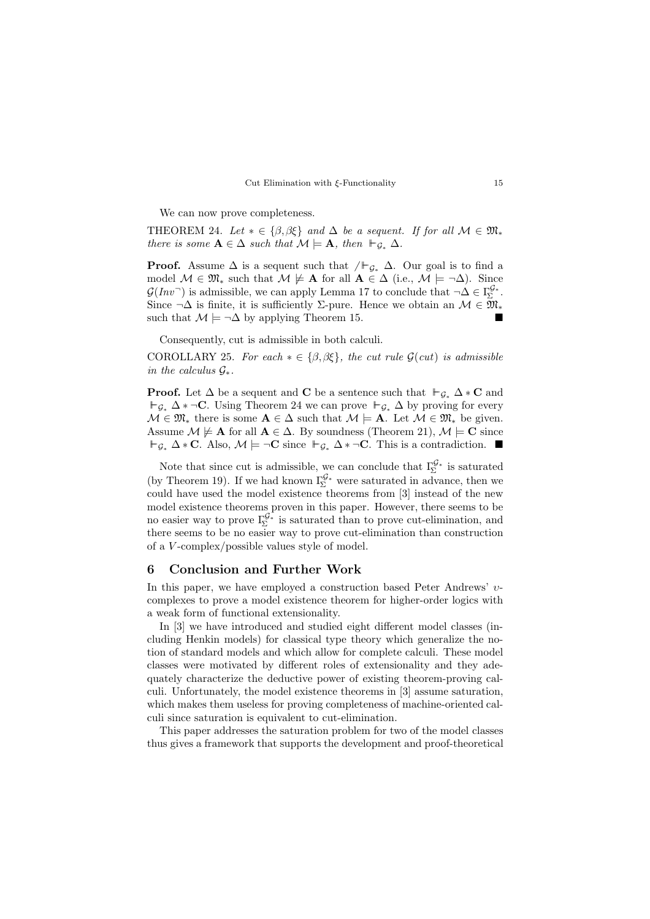#### Cut Elimination with ξ-Functionality 15

We can now prove completeness.

THEOREM 24. Let  $* \in {\beta, \beta \xi}$  and  $\Delta$  be a sequent. If for all  $\mathcal{M} \in \mathfrak{M}_*$ there is some  $A \in \Delta$  such that  $\mathcal{M} \models A$ , then  $\vdash_{\mathcal{G}_*} \Delta$ .

**Proof.** Assume  $\Delta$  is a sequent such that  $/F_{\mathcal{G}_*}$   $\Delta$ . Our goal is to find a model  $M \in \mathfrak{M}_*$  such that  $M \not\models A$  for all  $A \in \Delta$  (i.e.,  $M \models \neg \Delta$ ). Since  $\mathcal{G}(Inv^-)$  is admissible, we can apply Lemma 17 to conclude that  $\neg \Delta \in \Gamma^{\mathcal{G}_*}_{\Sigma}$ . Since  $\neg \Delta$  is finite, it is sufficiently  $\Sigma$ -pure. Hence we obtain an  $\mathcal{M} \in \mathfrak{M}_*$ such that  $\mathcal{M} \models \neg \Delta$  by applying Theorem 15.

Consequently, cut is admissible in both calculi.

COROLLARY 25. For each  $*\in \{\beta, \beta \xi\}$ , the cut rule  $\mathcal{G}(cut)$  is admissible in the calculus  $\mathcal{G}_*$ .

**Proof.** Let  $\Delta$  be a sequent and **C** be a sentence such that  $\vdash_{\mathcal{G}_*} \Delta * \mathbf{C}$  and  $\vdash_{\mathcal{G}_*} \Delta * \neg C$ . Using Theorem 24 we can prove  $\vdash_{\mathcal{G}_*} \Delta$  by proving for every  $\mathcal{M} \in \mathfrak{M}_*$  there is some  $\mathbf{A} \in \Delta$  such that  $\mathcal{M} \models \mathbf{A}$ . Let  $\mathcal{M} \in \mathfrak{M}_*$  be given. Assume  $\mathcal{M} \not\models A$  for all  $A \in \Delta$ . By soundness (Theorem 21),  $\mathcal{M} \models C$  since  $\vdash_{\mathcal{G}_*} \Delta * \mathbf{C}$ . Also,  $\mathcal{M} \models \neg \mathbf{C}$  since  $\vdash_{\mathcal{G}_*} \Delta * \neg \mathbf{C}$ . This is a contradiction. ■

Note that since cut is admissible, we can conclude that  $\Gamma_{\Sigma}^{\mathcal{G}_{*}}$  is saturated (by Theorem 19). If we had known  $\Gamma_{\Sigma}^{\mathcal{G}_{*}}$  were saturated in advance, then we could have used the model existence theorems from [3] instead of the new model existence theorems proven in this paper. However, there seems to be no easier way to prove  $\Gamma_{\Sigma}^{\mathcal{G}_{*}}$  is saturated than to prove cut-elimination, and there seems to be no easier way to prove cut-elimination than construction of a V -complex/possible values style of model.

# 6 Conclusion and Further Work

In this paper, we have employed a construction based Peter Andrews' υcomplexes to prove a model existence theorem for higher-order logics with a weak form of functional extensionality.

In [3] we have introduced and studied eight different model classes (including Henkin models) for classical type theory which generalize the notion of standard models and which allow for complete calculi. These model classes were motivated by different roles of extensionality and they adequately characterize the deductive power of existing theorem-proving calculi. Unfortunately, the model existence theorems in [3] assume saturation, which makes them useless for proving completeness of machine-oriented calculi since saturation is equivalent to cut-elimination.

This paper addresses the saturation problem for two of the model classes thus gives a framework that supports the development and proof-theoretical